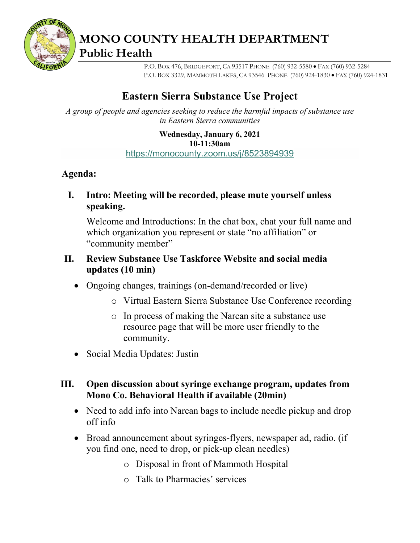

**MONO COUNTY HEALTH DEPARTMENT Public Health**

> P.O. BOX 476, BRIDGEPORT, CA 93517 PHONE (760) 932-5580 • FAX (760) 932-5284 P.O. BOX 3329, MAMMOTH LAKES, CA 93546 PHONE (760) 924-1830 • FAX (760) 924-1831

# **Eastern Sierra Substance Use Project**

*A group of people and agencies seeking to reduce the harmful impacts of substance use in Eastern Sierra communities*

> **Wednesday, January 6, 2021 10-11:30am** <https://monocounty.zoom.us/j/8523894939>

## **Agenda:**

**I. Intro: Meeting will be recorded, please mute yourself unless speaking.**

Welcome and Introductions: In the chat box, chat your full name and which organization you represent or state "no affiliation" or "community member"

## **II. Review Substance Use Taskforce Website and social media updates (10 min)**

- Ongoing changes, trainings (on-demand/recorded or live)
	- o Virtual Eastern Sierra Substance Use Conference recording
	- o In process of making the Narcan site a substance use resource page that will be more user friendly to the community.
- Social Media Updates: Justin

# **III. Open discussion about syringe exchange program, updates from Mono Co. Behavioral Health if available (20min)**

- Need to add info into Narcan bags to include needle pickup and drop off info
- Broad announcement about syringes-flyers, newspaper ad, radio. (if you find one, need to drop, or pick-up clean needles)
	- o Disposal in front of Mammoth Hospital
	- o Talk to Pharmacies' services